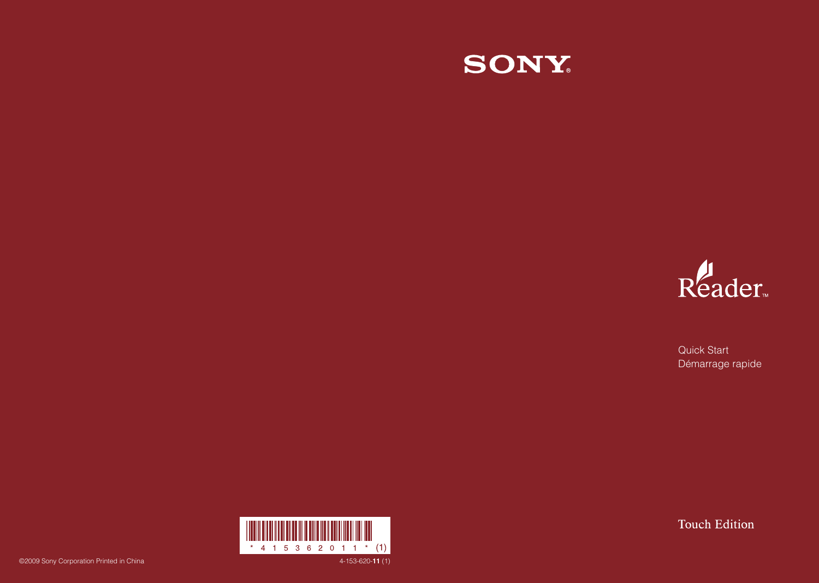



Quick Start Démarrage rapide

**Touch Edition** 

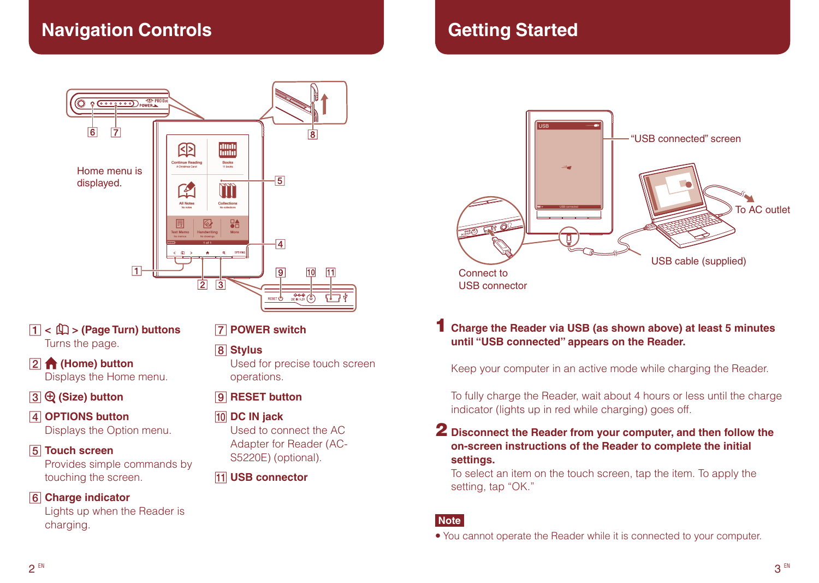# **Navigation Controls**



- **< > (Page Turn) buttons** Turns the page.
- **(Home) button** Displays the Home menu.
- **(Size) button**
- **OPTIONS button** Displays the Option menu.

#### **Touch screen**

Provides simple commands by touching the screen.

#### **Charge indicator**

Lights up when the Reader is charging.

# **POWER switch**

### **Stylus**

Used for precise touch screen operations.

## **9** RESET button

#### **10 DC IN jack**

Used to connect the AC Adapter for Reader (AC-S5220E) (optional).

#### **USB connector**

# **Getting Started**



## 1 **Charge the Reader via USB (as shown above) at least 5 minutes until "USB connected" appears on the Reader.**

Keep your computer in an active mode while charging the Reader.

To fully charge the Reader, wait about 4 hours or less until the charge indicator (lights up in red while charging) goes off.

#### 2 Disconnect the Reader from your computer, and then follow the **on-screen instructions of the Reader to complete the initial settings.**

To select an item on the touch screen, tap the item. To apply the setting, tap "OK."

#### **Note**

 You cannot operate the Reader while it is connected to your computer.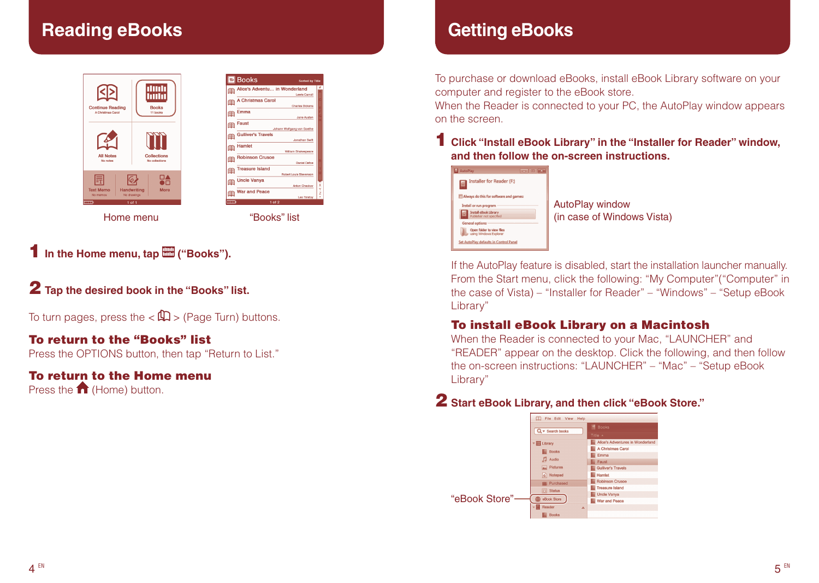# **Reading eBooks**



|   | l⊟ Books<br>Sorted by Title                           |              |
|---|-------------------------------------------------------|--------------|
|   | Alice's Adventu in Wonderland<br><b>Lewis Carroll</b> | 鱼            |
|   | <b>A Christmas Carol</b><br><b>Charles Dickens</b>    | 鱼            |
|   | Emma<br>Jane Austen                                   | 鱼            |
|   | Faust<br>Johann Wolfgang von Goethe                   | 鱼            |
|   | <b>Gulliver's Travels</b><br>Jonathan Swift           | 用            |
|   | Hamlet<br>William Shakespeare                         | 鱼            |
|   | <b>Robinson Crusoe</b><br><b>Daniel Defoe</b>         | 鱼            |
|   | <b>Treasure Island</b><br>Robert Louis Stevenson      | 全            |
| x | <b>Uncle Vanya</b><br>Anton Checkov                   | 鱼            |
| v | <b>War and Peace</b><br>Leo Tolstoy                   | 用            |
|   | $1$ of $2$                                            | <b>FIFTE</b> |
|   | "Books" list                                          |              |

**1** In the Home menu, tap  $\mathbb{H}$  ("Books").

2 **Tap the desired book in the "Books" list.**

To turn pages, press the  $\langle \mathbb{Q} \rangle$  / (Page Turn) buttons.

# To return to the "Books" list

Press the OPTIONS button, then tap "Return to List."

## To return to the Home menu

Press the 1 (Home) button.

# **Getting eBooks**

To purchase or download eBooks, install eBook Library software on your computer and register to the eBook store.

When the Reader is connected to your PC, the AutoPlay window appears on the screen.

### 1 **Click "Install eBook Library" in the "Installer for Reader" window, and then follow the on-screen instructions.**

| AutoPlay<br><b>Income Co</b>                            |      |
|---------------------------------------------------------|------|
| <b>Installer for Reader (F:)</b>                        |      |
| Always do this for software and games:                  |      |
| Install or run program                                  | Auto |
| <b>Install eBook Library</b><br>Publisher not specified | (in  |
| <b>General options</b>                                  |      |
| Open folder to view files<br>using Windows Explorer     |      |
| Set AutoPlay defaults in Control Panel                  |      |

oPlay window case of Windows Vista)

If the AutoPlay feature is disabled, start the installation launcher manually. From the Start menu, click the following: "My Computer"("Computer" in the case of Vista) – "Installer for Reader" – "Windows" – "Setup eBook Library"

#### To install eBook Library on a Macintosh

When the Reader is connected to your Mac, "LAUNCHER" and "READER" appear on the desktop. Click the following, and then follow the on-screen instructions: "LAUNCHER" – "Mac" – "Setup eBook Library"

# 2 **Start eBook Library, and then click "eBook Store."**

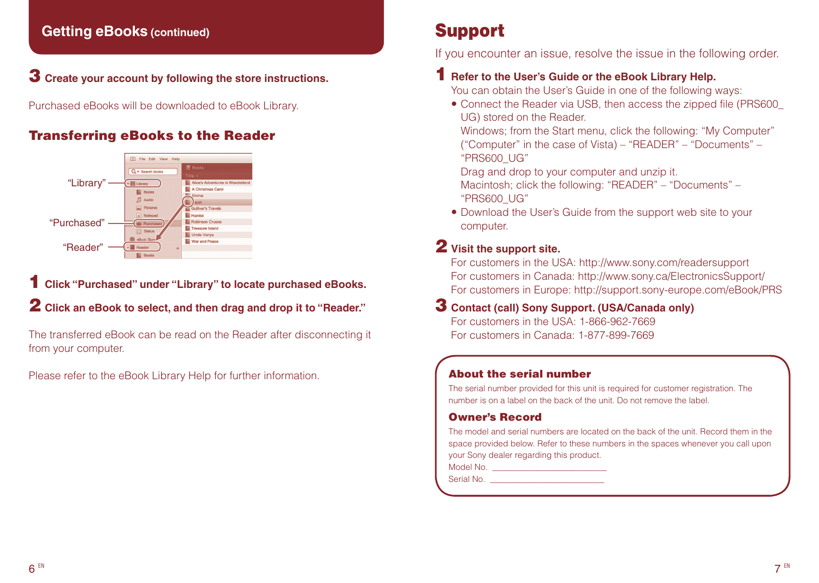# **Getting eBooks (continued)**

## **3** Create your account by following the store instructions.

Purchased eBooks will be downloaded to eBook Library.

# Transferring eBooks to the Reader



1 **Click "Purchased" under "Library" to locate purchased eBooks.**

# 2 **Click an eBook to select, and then drag and drop it to "Reader."**

The transferred eBook can be read on the Reader after disconnecting it from your computer.

Please refer to the eBook Library Help for further information.

# Support

If you encounter an issue, resolve the issue in the following order.

# 1 **Refer to the User's Guide or the eBook Library Help.**

You can obtain the User's Guide in one of the following ways:

 Connect the Reader via USB, then access the zipped file (PRS600\_ UG) stored on the Reader.

Windows; from the Start menu, click the following: "My Computer" ("Computer" in the case of Vista) – "READER" – "Documents" – "PRS600\_UG"

Drag and drop to your computer and unzip it.

Macintosh; click the following: "READER" – "Documents" – "PRS600\_UG"

 Download the User's Guide from the support web site to your computer.

# 2 **Visit the support site.**

For customers in the USA: http://www.sony.com/readersupport For customers in Canada: http://www.sony.ca/ElectronicsSupport/ For customers in Europe: http://support.sony-europe.com/eBook/PRS

3 **Contact (call) Sony Support. (USA/Canada only)** For customers in the USA: 1-866-962-7669 For customers in Canada: 1-877-899-7669

#### About the serial number

The serial number provided for this unit is required for customer registration. The number is on a label on the back of the unit. Do not remove the label.

#### Owner's Record

The model and serial numbers are located on the back of the unit. Record them in the space provided below. Refer to these numbers in the spaces whenever you call upon your Sony dealer regarding this product.

Model No.

Serial No. \_\_\_\_\_\_\_\_\_\_\_\_\_\_\_\_\_\_\_\_\_\_\_\_\_\_\_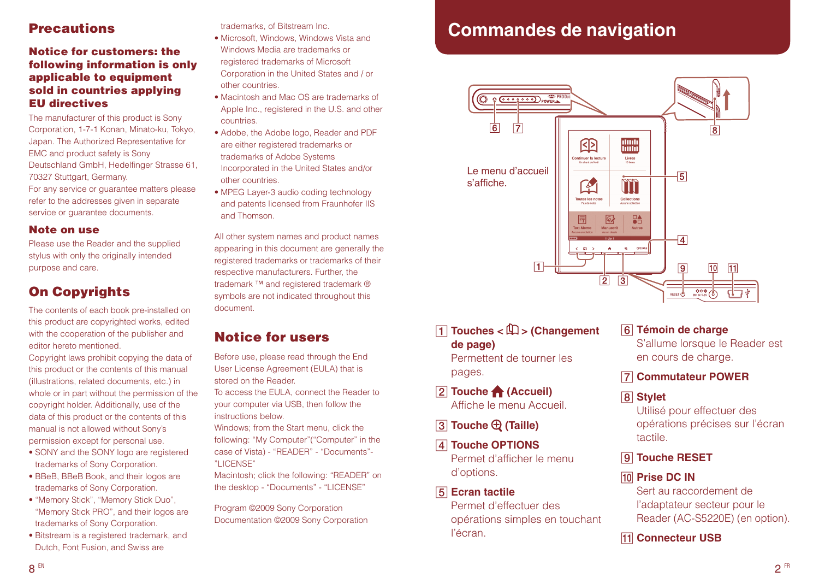## **Precautions**

#### Notice for customers: the following information is only applicable to equipment sold in countries applying EU directives

The manufacturer of this product is Sony Corporation, 1-7-1 Konan, Minato-ku, Tokyo, Japan. The Authorized Representative for EMC and product safety is Sony Deutschland GmbH, Hedelfinger Strasse 61, 70327 Stuttgart, Germany. For any service or guarantee matters please refer to the addresses given in separate service or guarantee documents.

#### Note on use

Please use the Reader and the supplied stylus with only the originally intended purpose and care.

# On Copyrights

The contents of each book pre-installed on this product are copyrighted works, edited with the cooperation of the publisher and editor hereto mentioned.

Copyright laws prohibit copying the data of this product or the contents of this manual (illustrations, related documents, etc.) in whole or in part without the permission of the copyright holder. Additionally, use of the data of this product or the contents of this manual is not allowed without Sony's permission except for personal use.

- SONY and the SONY logo are registered trademarks of Sony Corporation.
- BBeB, BBeB Book, and their logos are trademarks of Sony Corporation.
- "Memory Stick", "Memory Stick Duo", "Memory Stick PRO", and their logos are trademarks of Sony Corporation.
- Bitstream is a registered trademark, and Dutch, Font Fusion, and Swiss are

trademarks, of Bitstream Inc.

- Microsoft, Windows, Windows Vista and Windows Media are trademarks or registered trademarks of Microsoft Corporation in the United States and / or other countries.
- Macintosh and Mac OS are trademarks of Apple Inc., registered in the U.S. and other countries.
- Adobe, the Adobe logo, Reader and PDF are either registered trademarks or trademarks of Adobe Systems Incorporated in the United States and/or other countries.
- MPEG Layer-3 audio coding technology and patents licensed from Fraunhofer IIS and Thomson.

All other system names and product names appearing in this document are generally the registered trademarks or trademarks of their respective manufacturers. Further, the trademark ™ and registered trademark ® symbols are not indicated throughout this document.

# Notice for users

Before use, please read through the End User License Agreement (EULA) that is stored on the Reader.

To access the EULA, connect the Reader to your computer via USB, then follow the instructions below.

Windows; from the Start menu, click the following: "My Computer"("Computer" in the case of Vista) - "READER" - "Documents"- "LICENSE"

Macintosh; click the following: "READER" on the desktop - "Documents" - "LICENSE"

Program ©2009 Sony Corporation Documentation ©2009 Sony Corporation

# **Commandes de navigation**



**T** Touches <  $\mathbb{Q}$  > (Changement **de page)**

Permettent de tourner les pages.

- **Z** Touche **A** (Accueil) Affiche le menu Accueil.
- **Touche <b>Q** (Taille)
- **Touche OPTIONS** Permet d'afficher le menu d'options.
- **Ecran tactile** Permet d'effectuer des opérations simples en touchant l'écran.

#### **Témoin de charge**

S'allume lorsque le Reader est en cours de charge.

#### **Commutateur POWER**

 **Stylet**

Utilisé pour effectuer des opérations précises sur l'écran tactile.

- **Touche RESET**
- **Prise DC IN**

Sert au raccordement de l'adaptateur secteur pour le Reader (AC-S5220E) (en option).

#### **T1** Connecteur USB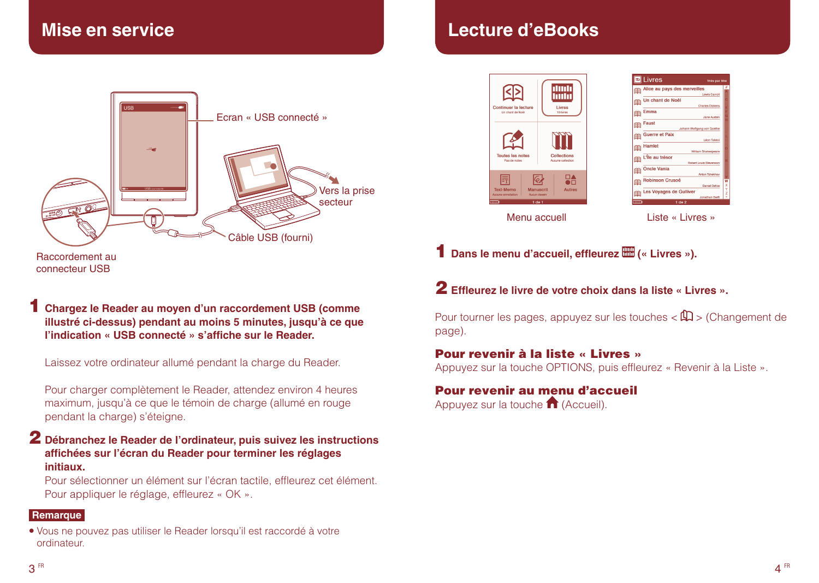

**Lecture d'eBooks**



|           | <b>D</b> Livres<br>Triés par titre |  |
|-----------|------------------------------------|--|
|           | Alice au pays des merveilles       |  |
|           | Lewis Carroll                      |  |
| rs        | Un chant de Noël                   |  |
|           | Charles Dickens                    |  |
| 闇         | Emma                               |  |
|           | Jane Austen                        |  |
| 居高        | <b>Faust</b>                       |  |
|           | Johann Wolfgang von Goethe         |  |
|           | Guerre et Paix                     |  |
|           | <b>Léon Tolstoi</b>                |  |
|           | <b>Hamlet</b>                      |  |
|           | William Shakespeare                |  |
|           | L'Île au trésor                    |  |
| ra        | <b>Robert Louis Stevenson</b>      |  |
|           | <b>Oncle Vania</b>                 |  |
| <b>ER</b> | Anton Tchekhov                     |  |
|           | <b>Robinson Crusoé</b>             |  |
| <b>ER</b> | Daniel Defoe                       |  |
|           | Les Voyages de Gulliver            |  |
| iar       | <b>Jonathan Swift</b>              |  |
| $+100$    | 1 de 2                             |  |

1 Dans le menu d'accueil, effleurez **EU** (« Livres »).

2 **Effleurez le livre de votre choix dans la liste « Livres ».**

Pour tourner les pages, appuyez sur les touches  $\langle \mathbb{\Omega} \rangle$  (Changement de page).

#### Pour revenir à la liste « Livres »

Appuyez sur la touche OPTIONS, puis effleurez « Revenir à la Liste ».

# Pour revenir au menu d'accueil

Appuyez sur la touche 1 (Accueil).

connecteur USB

1 **Chargez le Reader au moyen d'un raccordement USB (comme illustré ci-dessus) pendant au moins 5 minutes, jusqu'à ce que l'indication « USB connecté » s'affiche sur le Reader.**

Laissez votre ordinateur allumé pendant la charge du Reader.

Pour charger complètement le Reader, attendez environ 4 heures maximum, jusqu'à ce que le témoin de charge (allumé en rouge pendant la charge) s'éteigne.

### 2 **Débranchez le Reader de l'ordinateur, puis suivez les instructions affichées sur l'écran du Reader pour terminer les réglages initiaux.**

Pour sélectionner un élément sur l'écran tactile, effleurez cet élément. Pour appliquer le réglage, effleurez « OK ».

#### **Remarque**

 Vous ne pouvez pas utiliser le Reader lorsqu'il est raccordé à votre ordinateur.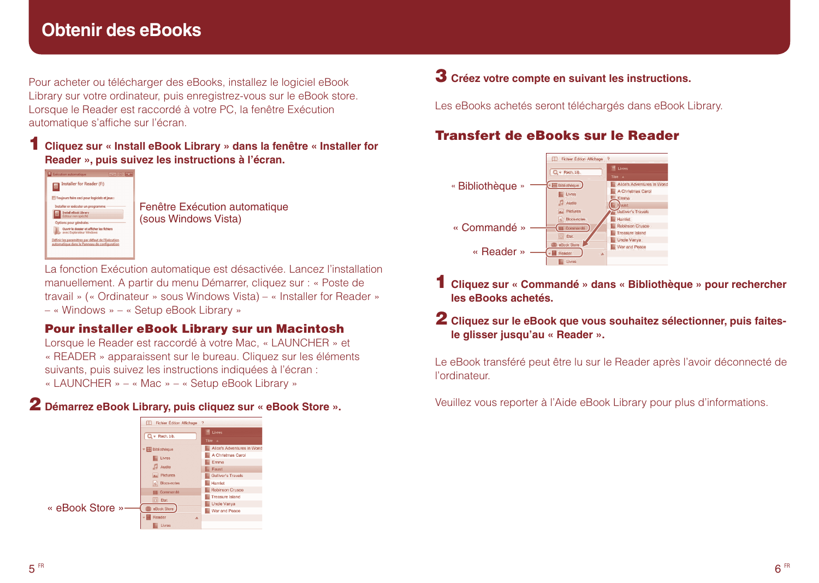# **Obtenir des eBooks**

Pour acheter ou télécharger des eBooks, installez le logiciel eBook Library sur votre ordinateur, puis enregistrez-vous sur le eBook store. Lorsque le Reader est raccordé à votre PC, la fenêtre Exécution automatique s'affiche sur l'écran.

### 1 **Cliquez sur « Install eBook Library » dans la fenêtre « Installer for Reader », puis suivez les instructions à l'écran.**



Fenêtre Exécution automatique (sous Windows Vista)

La fonction Exécution automatique est désactivée. Lancez l'installation manuellement. A partir du menu Démarrer, cliquez sur : « Poste de travail » (« Ordinateur » sous Windows Vista) – « Installer for Reader » – « Windows » – « Setup eBook Library »

## Pour installer eBook Library sur un Macintosh

Lorsque le Reader est raccordé à votre Mac, « LAUNCHER » et « READER » apparaissent sur le bureau. Cliquez sur les éléments suivants, puis suivez les instructions indiquées à l'écran : « LAUNCHER » – « Mac » – « Setup eBook Library »

## 2 **Démarrez eBook Library, puis cliquez sur « eBook Store ».**



# 3 **Créez votre compte en suivant les instructions.**

Les eBooks achetés seront téléchargés dans eBook Library.

# Transfert de eBooks sur le Reader



1 **Cliquez sur « Commandé » dans « Bibliothèque » pour rechercher les eBooks achetés.**

## 2 **Cliquez sur le eBook que vous souhaitez sélectionner, puis faitesle glisser jusqu'au « Reader ».**

Le eBook transféré peut être lu sur le Reader après l'avoir déconnecté de l'ordinateur.

Veuillez vous reporter à l'Aide eBook Library pour plus d'informations.